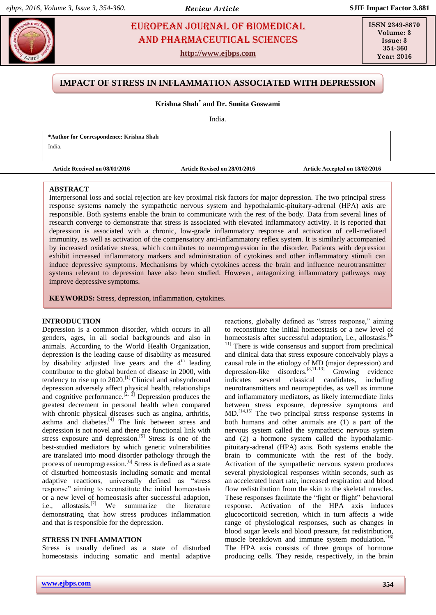# **EUROPEAN JOURNAL OF BIOMEDICAL EUROPEAN SURVERSE AND PHARMACEUTICAL** SCIENCES AND Pharmaceutical sciences

**http://www.ejbps.com**

**ISSN 2349-8870 Volume: 3 Issue: 3 354-360 Year: 2016**

# **IMPACT OF STRESS IN INFLAMMATION ASSOCIATED WITH DEPRESSION**

# **Krishna Shah\* and Dr. Sunita Goswami**

India.

**\*Author for Correspondence: Krishna Shah**

India.

**Article Received on 08/01/2016 Article Revised on 28/01/2016 Article Accepted on 18/02/2016**

### **ABSTRACT**

Interpersonal loss and social rejection are key proximal risk factors for major depression. The two principal stress response systems namely the sympathetic nervous system and hypothalamic-pituitary-adrenal (HPA) axis are responsible. Both systems enable the brain to communicate with the rest of the body. Data from several lines of research converge to demonstrate that stress is associated with elevated inflammatory activity. It is reported that depression is associated with a chronic, low-grade inflammatory response and activation of cell-mediated immunity, as well as activation of the compensatory anti-inflammatory reflex system. It is similarly accompanied by increased oxidative stress, which contributes to neuroprogression in the disorder. Patients with depression exhibit increased inflammatory markers and administration of cytokines and other inflammatory stimuli can induce depressive symptoms. Mechanisms by which cytokines access the brain and influence neurotransmitter systems relevant to depression have also been studied. However, antagonizing inflammatory pathways may improve depressive symptoms.

**KEYWORDS:** Stress, depression, inflammation, cytokines.

### **INTRODUCTION**

Depression is a common disorder, which occurs in all genders, ages, in all social backgrounds and also in animals. According to the World Health Organization, depression is the leading cause of disability as measured by disability adjusted live years and the  $4<sup>th</sup>$  leading contributor to the global burden of disease in 2000, with tendency to rise up to  $2020$ .<sup>[\[1\]](#page-4-0)</sup> Clinical and subsyndromal depression adversely affect physical health, relationships and cognitive performance.<sup>[\[2,](#page-4-1) [3\]](#page-4-2)</sup> Depression produces the greatest decrement in personal health when compared with chronic physical diseases such as angina, arthritis, asthma and diabetes.<sup>[\[4\]](#page-4-3)</sup> The link between stress and depression is not novel and there are functional link with stress exposure and depression.<sup>[\[5\]](#page-4-4)</sup> Stress is one of the best-studied mediators by which genetic vulnerabilities are translated into mood disorder pathology through the process of neuroprogression.<sup>[\[6\]](#page-4-5)</sup> Stress is defined as a state of disturbed homeostasis including somatic and mental adaptive reactions, universally defined as "stress response" aiming to reconstitute the initial homeostasis or a new level of homeostasis after successful adaption, i.e., allostasis.<sup>[7]</sup> We summarize the literature demonstrating that how stress produces inflammation and that is responsible for the depression.

### **STRESS IN INFLAMMATION**

Stress is usually defined as a state of disturbed homeostasis inducing somatic and mental adaptive

reactions, globally defined as "stress response," aiming to reconstitute the initial homeostasis or a new level of homeostasis after successful adaptation, i.e., allostasis.<sup>[\[8-](#page-4-6)</sup>

<sup>[11\]](#page-4-6)</sup> There is wide consensus and support from preclinical and clinical data that stress exposure conceivably plays a causal role in the etiology of MD (major depression) and depression-like disorders. [\[8,](#page-4-6)[11-13\]](#page-4-7) Growing evidence indicates several classical candidates, including neurotransmitters and neuropeptides, as well as immune and inflammatory mediators, as likely intermediate links between stress exposure, depressive symptoms and MD. [\[14,](#page-4-8)[15\]](#page-4-9) The two principal stress response systems in both humans and other animals are (1) a part of the nervous system called the sympathetic nervous system and (2) a hormone system called the hypothalamicpituitary-adrenal (HPA) axis. Both systems enable the brain to communicate with the rest of the body. Activation of the sympathetic nervous system produces several physiological responses within seconds, such as an accelerated heart rate, increased respiration and blood flow redistribution from the skin to the skeletal muscles. These responses facilitate the "fight or flight" behavioral response. Activation of the HPA axis induces glucocorticoid secretion, which in turn affects a wide range of physiological responses, such as changes in blood sugar levels and blood pressure, fat redistribution, muscle breakdown and immune system modulation.<sup>[\[16\]](#page-4-10)</sup> The HPA axis consists of three groups of hormone producing cells. They reside, respectively, in the brain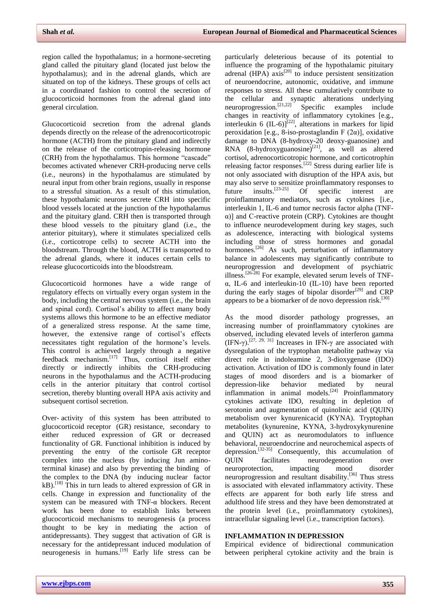region called the hypothalamus; in a hormone-secreting gland called the pituitary gland (located just below the hypothalamus); and in the adrenal glands, which are situated on top of the kidneys. These groups of cells act in a coordinated fashion to control the secretion of glucocorticoid hormones from the adrenal gland into general circulation.

Glucocorticoid secretion from the adrenal glands depends directly on the release of the adrenocorticotropic hormone (ACTH) from the pituitary gland and indirectly on the release of the corticotropin-releasing hormone (CRH) from the hypothalamus. This hormone "cascade" becomes activated whenever CRH-producing nerve cells (i.e., neurons) in the hypothalamus are stimulated by neural input from other brain regions, usually in response to a stressful situation. As a result of this stimulation, these hypothalamic neurons secrete CRH into specific blood vessels located at the junction of the hypothalamus and the pituitary gland. CRH then is transported through these blood vessels to the pituitary gland (i.e., the anterior pituitary), where it stimulates specialized cells (i.e., corticotrope cells) to secrete ACTH into the bloodstream. Through the blood, ACTH is transported to the adrenal glands, where it induces certain cells to release glucocorticoids into the bloodstream.

Glucocorticoid hormones have a wide range of regulatory effects on virtually every organ system in the body, including the central nervous system (i.e., the brain and spinal cord). Cortisol's ability to affect many body systems allows this hormone to be an effective mediator of a generalized stress response. At the same time, however, the extensive range of cortisol's effects necessitates tight regulation of the hormone's levels. This control is achieved largely through a negative feedback mechanism.[\[17\]](#page-4-11) Thus, cortisol itself either directly or indirectly inhibits the CRH-producing neurons in the hypothalamus and the ACTH-producing cells in the anterior pituitary that control cortisol secretion, thereby blunting overall HPA axis activity and subsequent cortisol secretion.

Over- activity of this system has been attributed to glucocorticoid receptor (GR) resistance, secondary to either reduced expression of GR or decreased functionality of GR. Functional inhibition is induced by preventing the entry of the cortisole GR receptor complex into the nucleus (by inducing Jun aminoterminal kinase) and also by preventing the binding of the complex to the DNA (by inducing nuclear factor  $kB$ ).<sup>[\[18\]](#page-4-12)</sup> This in turn leads to altered expression of GR in cells. Change in expression and functionality of the system can be measured with TNF-α blockers. Recent work has been done to establish links between glucocorticoid mechanisms to neurogenesis (a process thought to be key in mediating the action of antidepressants). They suggest that activation of GR is necessary for the antidepressant induced modulation of neurogenesis in humans.<sup>[\[19\]](#page-4-13)</sup> Early life stress can be particularly deleterious because of its potential to influence the programing of the hypothalamic pituitary adrenal (HPA)  $axis^{[20]}$  $axis^{[20]}$  $axis^{[20]}$  to induce persistent sensitization of neuroendocrine, autonomic, oxidative, and immune responses to stress. All these cumulatively contribute to the cellular and synaptic alterations underlying neuroprogression.<sup>[\[21,](#page-4-15)[22\]](#page-4-16)</sup> Specific examples include changes in reactivity of inflammatory cytokines [e.g., interleukin 6 (IL-6)]<sup>[\[22\]](#page-4-16)</sup>, alterations in markers for lipid peroxidation [e.g., 8-iso-prostaglandin F  $(2\alpha)$ ], oxidative damage to DNA (8-hydroxy-20 deoxy-guanosine) and RNA  $(8-hydroxy guanosine)^{[21]}$  $(8-hydroxy guanosine)^{[21]}$  $(8-hydroxy guanosine)^{[21]}$ , as well as altered cortisol, adrenocorticotropic hormone, and corticotrophin releasing factor responses.<sup>[\[22\]](#page-4-16)</sup> Stress during earlier life is not only associated with disruption of the HPA axis, but may also serve to sensitize proinflammatory responses to future insults.<sup>[\[23-25\]](#page-4-17)</sup> Of specific interest are proinflammatory mediators, such as cytokines [i.e., interleukin 1, IL-6 and tumor necrosis factor alpha (TNFα)] and C-reactive protein (CRP). Cytokines are thought to influence neurodevelopment during key stages, such as adolescence, interacting with biological systems including those of stress hormones and gonadal hormones.<sup>[\[26\]](#page-4-18)</sup> As such, perturbation of inflammatory balance in adolescents may significantly contribute to neuroprogression and development of psychiatric illness.<sup>[\[26-28\]](#page-4-18)</sup> For example, elevated serum levels of TNFα, IL-6 and interleukin-10 (IL-10) have been reported during the early stages of bipolar disorder<sup>[\[29\]](#page-4-19)</sup> and CRP appears to be a biomarker of de novo depression risk.<sup>[\[30\]](#page-5-0)</sup>

As the mood disorder pathology progresses, an increasing number of proinflammatory cytokines are observed, including elevated levels of interferon gamma (IFN- $\gamma$ ).<sup>[\[27,](#page-4-20) [29,](#page-4-19) [31\]](#page-5-1)</sup> Increases in IFN- $\gamma$  are associated with dysregulation of the tryptophan metabolite pathway via direct role in indoleamine 2, 3-dioxygenase (IDO) activation. Activation of IDO is commonly found in later stages of mood disorders and is a biomarker of depression-like behavior mediated by neural inflammation in animal models.<sup>[\[24\]](#page-4-21)</sup> Proinflammatory cytokines activate IDO, resulting in depletion of serotonin and augmentation of quinolinic acid (QUIN) metabolism over kynurenicacid (KYNA). Tryptophan metabolites (kynurenine, KYNA, 3-hydroxykynurenine and QUIN) act as neuromodulators to influence behavioral, neuroendocrine and neurochemical aspects of depression.[\[32-35\]](#page-5-2) Consequently, this accumulation of QUIN facilitates neurodegeneration over neuroprotection, impacting mood disorder neuroprogression and resultant disability.[\[36\]](#page-5-3) Thus stress is associated with elevated inflammatory activity. These effects are apparent for both early life stress and adulthood life stress and they have been demonstrated at the protein level (i.e., proinflammatory cytokines), intracellular signaling level (i.e., transcription factors).

### **INFLAMMATION IN DEPRESSION**

Empirical evidence of bidirectional communication between peripheral cytokine activity and the brain is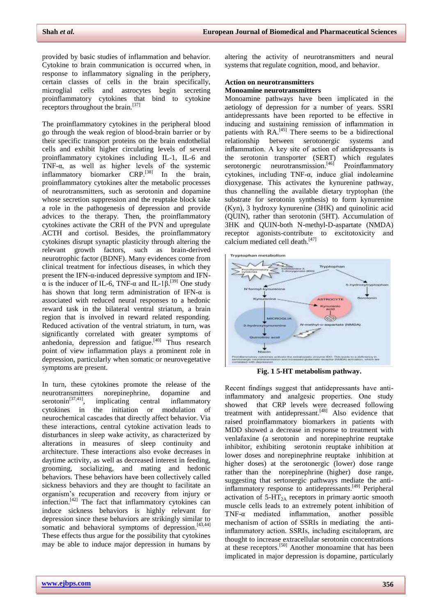provided by basic studies of inflammation and behavior. Cytokine to brain communication is occurred when, in response to inflammatory signaling in the periphery, certain classes of cells in the brain specifically, microglial cells and astrocytes begin secreting proinflammatory cytokines that bind to cytokine receptors throughout the brain.<sup>[\[37\]](#page-5-4)</sup>

The proinflammatory cytokines in the peripheral blood go through the weak region of blood-brain barrier or by their specific transport proteins on the brain endothelial cells and exhibit higher circulating levels of several proinflammatory cytokines including IL-1, IL-6 and TNF-α, as well as higher levels of the systemic inflammatory biomarker CRP.<sup>[\[38\]](#page-5-5)</sup> In the brain, proinflammatory cytokines alter the metabolic processes of neurotransmitters, such as serotonin and dopamine whose secretion suppression and the reuptake block take a role in the pathogenesis of depression and provide advices to the therapy. Then, the proinflammatory cytokines activate the CRH of the PVN and upregulate ACTH and cortisol. Besides, the proinflammatory cytokines disrupt synaptic plasticity through altering the relevant growth factors, such as brain-derived neurotrophic factor (BDNF). Many evidences come from clinical treatment for infectious diseases, in which they present the IFN-α-induced depressive symptom and IFN- $\alpha$  is the inducer of IL-6, TNF- $\alpha$  and IL-1 $\beta$ .<sup>[\[39\]](#page-5-6)</sup> One study has shown that long term administration of IFN- $\alpha$  is associated with reduced neural responses to a hedonic reward task in the bilateral ventral striatum, a brain region that is involved in reward related responding. Reduced activation of the ventral striatum, in turn, was significantly correlated with greater symptoms of anhedonia, depression and fatigue.<sup>[\[40\]](#page-5-7)</sup> Thus research point of view inflammation plays a prominent role in depression, particularly when somatic or neurovegetative symptoms are present.

In turn, these cytokines promote the release of the neurotransmitters norepinephrine, dopamine and  $\text{serotonin}^{[37,41]}$  $\text{serotonin}^{[37,41]}$  $\text{serotonin}^{[37,41]}$  $\text{serotonin}^{[37,41]}$ , implicating central inflammatory cytokines in the initiation or modulation of neurochemical cascades that directly affect behavior. Via these interactions, central cytokine activation leads to disturbances in sleep wake activity, as characterized by alterations in measures of sleep continuity and architecture. These interactions also evoke decreases in daytime activity, as well as decreased interest in feeding, grooming, socializing, and mating and hedonic behaviors. These behaviors have been collectively called sickness behaviors and they are thought to facilitate an organism's recuperation and recovery from injury or infection.<sup>[\[42\]](#page-5-9)</sup> The fact that inflammatory cytokines can induce sickness behaviors is highly relevant for depression since these behaviors are strikingly similar to somatic and behavioral symptoms of depression.<sup>[\[43,](#page-5-10)[44\]](#page-5-11)</sup> These effects thus argue for the possibility that cytokines may be able to induce major depression in humans by

altering the activity of neurotransmitters and neural systems that regulate cognition, mood, and behavior.

# **Action on neurotransmitters**

## **Monoamine neurotransmitters**

Monoamine pathways have been implicated in the aetiology of depression for a number of years. SSRI antidepressants have been reported to be effective in inducing and sustaining remission of inflammation in patients with RA.<sup>[\[45\]](#page-5-12)</sup> There seems to be a bidirectional relationship between serotonergic systems and inflammation. A key site of action of antidepressants is the serotonin transporter (SERT) which regulates serotonergic neurotransmission.<sup>[\[46\]](#page-5-13)</sup> Proinflammatory cytokines, including TNF-α, induce glial indoleamine dioxygenase. This activates the kynurenine pathway, thus channelling the available dietary tryptophan (the substrate for serotonin synthesis) to form kynurenine (Kyn), 3 hydroxy kynurenine (3HK) and quinolinic acid (QUIN), rather than serotonin (5HT). Accumulation of 3HK and QUIN-both N-methyl-D-aspartate (NMDA) receptor agonists-contribute to excitotoxicity and calcium mediated cell death.<sup>[\[47\]](#page-5-14)</sup>



**Fig. 1 5-HT metabolism pathway.**

Recent findings suggest that antidepressants have antiinflammatory and analgesic properties. One study showed that CRP levels were decreased following treatment with antidepressant.<sup>[\[48\]](#page-5-15)</sup> Also evidence that raised proinflammatory biomarkers in patients with MDD showed a decrease in response to treatment with venlafaxine (a serotonin and norepinephrine reuptake inhibitor, exhibiting serotonin reuptake inhibition at lower doses and norepinephrine reuptake inhibition at higher doses) at the serotonergic (lower) dose range rather than the norepinephrine (higher) dose range, suggesting that sertonergic pathways mediate the antiinflammatory response to antidepressants. [\[49\]](#page-5-16) Peripheral activation of  $5-HT_{2A}$  receptors in primary aortic smooth muscle cells leads to an extremely potent inhibition of TNF-α mediated inflammation, another possible mechanism of action of SSRIs in mediating the antiinflammatory action. SSRIs, including escitalopram, are thought to increase extracellular serotonin concentrations at these receptors.[\[50\]](#page-5-17) Another monoamine that has been implicated in major depression is dopamine, particularly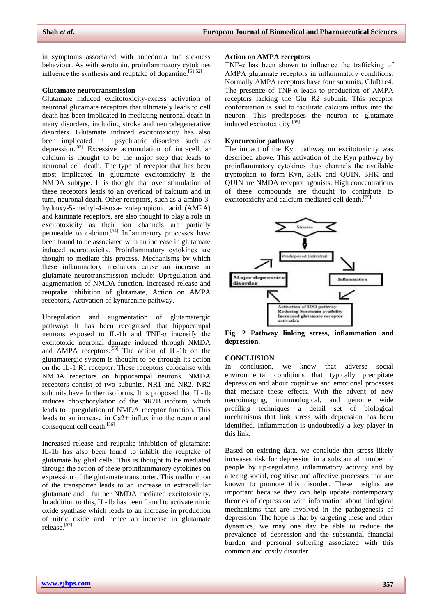in symptoms associated with anhedonia and sickness behaviour. As with serotonin, proinflammatory cytokines influence the synthesis and reuptake of dopamine.<sup>[\[51,](#page-5-18)[52\]](#page-5-19)</sup>

### **Glutamate neurotransmission**

Glutamate induced excitotoxicity-excess activation of neuronal glutamate receptors that ultimately leads to cell death has been implicated in mediating neuronal death in many disorders, including stroke and neurodegenerative disorders. Glutamate induced excitotoxicity has also<br>been implicated in psychiatric disorders such as psychiatric disorders such as depression. [\[53\]](#page-5-20) Excessive accumulation of intracellular calcium is thought to be the major step that leads to neuronal cell death. The type of receptor that has been most implicated in glutamate excitotoxicity is the NMDA subtype. It is thought that over stimulation of these receptors leads to an overload of calcium and in turn, neuronal death. Other receptors, such as a-amino-3 hydroxy-5-methyl-4-isoxa- zolepropionic acid (AMPA) and kaininate receptors, are also thought to play a role in excitotoxicity as their ion channels are partially permeable to calcium.<sup>[\[54\]](#page-5-21)</sup> Inflammatory processes have been found to be associated with an increase in glutamate induced neurotoxicity. Proinflammatory cytokines are thought to mediate this process. Mechanisms by which these inflammatory mediators cause an increase in glutamate neurotransmission include: Upregulation and augmentation of NMDA function, Increased release and reuptake inhibition of glutamate, Action on AMPA receptors, Activation of kynurenine pathway.

Upregulation and augmentation of glutamatergic pathway: It has been recognised that hippocampal neurons exposed to IL-1b and TNF- $\alpha$  intensify the excitotoxic neuronal damage induced through NMDA and AMPA receptors.<sup>[\[55\]](#page-5-22)</sup> The action of IL-1b on the glutamatergic system is thought to be through its action on the IL-1 R1 receptor. These receptors colocalise with NMDA receptors on hippocampal neurons. NMDA receptors consist of two subunits, NR1 and NR2. NR2 subunits have further isoforms. It is proposed that IL-1b induces phosphorylation of the NR2B isoform, which leads to upregulation of NMDA receptor function. This leads to an increase in Ca2+ influx into the neuron and consequent cell death.<sup>[\[56\]](#page-5-23)</sup>

Increased release and reuptake inhibition of glutamate: IL-1b has also been found to inhibit the reuptake of glutamate by glial cells. This is thought to be mediated through the action of these proinflammatory cytokines on expression of the glutamate transporter. This malfunction of the transporter leads to an increase in extracellular glutamate and further NMDA mediated excitotoxicity. In addition to this, IL-1b has been found to activate nitric oxide synthase which leads to an increase in production of nitric oxide and hence an increase in glutamate release.[\[57\]](#page-6-0)

### **Action on AMPA receptors**

TNF- $\alpha$  has been shown to influence the trafficking of AMPA glutamate receptors in inflammatory conditions. Normally AMPA receptors have four subunits, GluR1e4. The presence of TNF- $\alpha$  leads to production of AMPA receptors lacking the Glu R2 subunit. This receptor conformation is said to facilitate calcium influx into the neuron. This predisposes the neuron to glutamate induced excitotoxicity.[\[58\]](#page-6-1)

## **Kyneurenine pathway**

The impact of the Kyn pathway on excitotoxicity was described above. This activation of the Kyn pathway by proinflammatory cytokines thus channels the available tryptophan to form Kyn, 3HK and QUIN. 3HK and QUIN are NMDA receptor agonists. High concentrations of these compounds are thought to contribute to excitotoxicity and calcium mediated cell death.<sup>[\[59\]](#page-6-2)</sup>



**Fig. 2 Pathway linking stress, inflammation and depression.**

#### **CONCLUSION**

In conclusion, we know that adverse social environmental conditions that typically precipitate depression and about cognitive and emotional processes that mediate these effects. With the advent of new neuroimaging, immunological, and genome wide profiling techniques a detail set of biological mechanisms that link stress with depression has been identified. Inflammation is undoubtedly a key player in this link.

Based on existing data, we conclude that stress likely increases risk for depression in a substantial number of people by up-regulating inflammatory activity and by altering social, cognitive and affective processes that are known to promote this disorder. These insights are important because they can help update contemporary theories of depression with information about biological mechanisms that are involved in the pathogenesis of depression. The hope is that by targeting these and other dynamics, we may one day be able to reduce the prevalence of depression and the substantial financial burden and personal suffering associated with this common and costly disorder.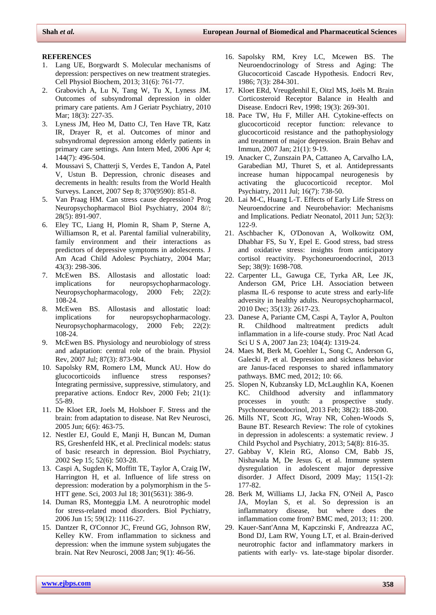### **REFERENCES**

- <span id="page-4-0"></span>1. Lang UE, Borgwardt S. Molecular mechanisms of depression: perspectives on new treatment strategies. Cell Physiol Biochem, 2013; 31(6): 761-77.
- 2. Grabovich A, Lu N, Tang W, Tu X, Lyness JM. Outcomes of subsyndromal depression in older primary care patients. Am J Geriatr Psychiatry, 2010 Mar; 18(3): 227-35.
- <span id="page-4-2"></span>3. Lyness JM, Heo M, Datto CJ, Ten Have TR, Katz IR, Drayer R, et al. Outcomes of minor and subsyndromal depression among elderly patients in primary care settings. Ann Intern Med, 2006 Apr 4; 144(7): 496-504.
- <span id="page-4-3"></span>4. Moussavi S, Chatterji S, Verdes E, Tandon A, Patel V, Ustun B. Depression, chronic diseases and decrements in health: results from the World Health Surveys. Lancet, 2007 Sep 8; 370(9590): 851-8.
- <span id="page-4-4"></span>5. Van Praag HM. Can stress cause depression? Prog Neuropsychopharmacol Biol Psychiatry, 2004 8//; 28(5): 891-907.
- <span id="page-4-5"></span>6. Eley TC, Liang H, Plomin R, Sham P, Sterne A, Williamson R, et al. Parental familial vulnerability, family environment and their interactions as predictors of depressive symptoms in adolescents. J Am Acad Child Adolesc Psychiatry, 2004 Mar; 43(3): 298-306.
- <span id="page-4-6"></span>7. McEwen BS. Allostasis and allostatic load: implications for neuropsychopharmacology. Neuropsychopharmacology, 2000 Feb; 22(2): 108-24.
- 8. McEwen BS. Allostasis and allostatic load: implications for neuropsychopharmacology. Neuropsychopharmacology, 2000 Feb; 22(2): 108-24.
- 9. McEwen BS. Physiology and neurobiology of stress and adaptation: central role of the brain. Physiol Rev, 2007 Jul; 87(3): 873-904.
- 10. Sapolsky RM, Romero LM, Munck AU. How do glucocorticoids influence stress responses? Integrating permissive, suppressive, stimulatory, and preparative actions. Endocr Rev, 2000 Feb; 21(1): 55-89.
- <span id="page-4-7"></span>11. De Kloet ER, Joels M, Holsboer F. Stress and the brain: from adaptation to disease. Nat Rev Neurosci, 2005 Jun; 6(6): 463-75.
- 12. Nestler EJ, Gould E, Manji H, Buncan M, Duman RS, Greshenfeld HK, et al. Preclinical models: status of basic research in depression. Biol Psychiatry, 2002 Sep 15; 52(6): 503-28.
- 13. Caspi A, Sugden K, Moffitt TE, Taylor A, Craig IW, Harrington H, et al. Influence of life stress on depression: moderation by a polymorphism in the 5- HTT gene. Sci, 2003 Jul 18; 301(5631): 386-9.
- <span id="page-4-8"></span>14. Duman RS, Monteggia LM. A neurotrophic model for stress-related mood disorders. Biol Pychiatry, 2006 Jun 15; 59(12): 1116-27.
- <span id="page-4-9"></span>15. Dantzer R, O'Connor JC, Freund GG, Johnson RW, Kelley KW. From inflammation to sickness and depression: when the immune system subjugates the brain. Nat Rev Neurosci, 2008 Jan; 9(1): 46-56.
- <span id="page-4-10"></span>16. Sapolsky RM, Krey LC, Mcewen BS. The Neuroendocrinology of Stress and Aging: The Glucocorticoid Cascade Hypothesis. Endocri Rev, 1986; 7(3): 284-301.
- <span id="page-4-11"></span><span id="page-4-1"></span>17. Kloet ERd, Vreugdenhil E, Oitzl MS, Joëls M. Brain Corticosteroid Receptor Balance in Health and Disease. Endocri Rev, 1998; 19(3): 269-301.
- <span id="page-4-12"></span>18. Pace TW, Hu F, Miller AH. Cytokine-effects on glucocorticoid receptor function: relevance to glucocorticoid resistance and the pathophysiology and treatment of major depression. Brain Behav and Immun, 2007 Jan; 21(1): 9-19.
- <span id="page-4-13"></span>19. Anacker C, Zunszain PA, Cattaneo A, Carvalho LA, Garabedian MJ, Thuret S, et al. Antidepressants increase human hippocampal neurogenesis by activating the glucocorticoid receptor. Mol Psychiatry, 2011 Jul; 16(7): 738-50.
- <span id="page-4-14"></span>20. Lai M-C, Huang L-T. Effects of Early Life Stress on Neuroendocrine and Neurobehavior: Mechanisms and Implications. Pediatr Neonatol, 2011 Jun; 52(3): 122-9.
- <span id="page-4-15"></span>21. Aschbacher K, O'Donovan A, Wolkowitz OM, Dhabhar FS, Su Y, Epel E. Good stress, bad stress and oxidative stress: insights from anticipatory cortisol reactivity. Psychoneuroendocrinol, 2013 Sep; 38(9): 1698-708.
- <span id="page-4-16"></span>22. Carpenter LL, Gawuga CE, Tyrka AR, Lee JK, Anderson GM, Price LH. Association between plasma IL-6 response to acute stress and early-life adversity in healthy adults. Neuropsychopharmacol, 2010 Dec; 35(13): 2617-23.
- <span id="page-4-17"></span>23. Danese A, Pariante CM, Caspi A, Taylor A, Poulton R. Childhood maltreatment predicts adult inflammation in a life-course study. Proc Natl Acad Sci U S A, 2007 Jan 23; 104(4): 1319-24.
- <span id="page-4-21"></span>24. Maes M, Berk M, Goehler L, Song C, Anderson G, Galecki P, et al. Depression and sickness behavior are Janus-faced responses to shared inflammatory pathways. BMC med, 2012; 10: 66.
- 25. Slopen N, Kubzansky LD, McLaughlin KA, Koenen KC. Childhood adversity and inflammatory processes in youth: a prospective study. Psychoneuroendocrinol, 2013 Feb; 38(2): 188-200.
- <span id="page-4-18"></span>26. Mills NT, Scott JG, Wray NR, Cohen-Woods S, Baune BT. Research Review: The role of cytokines in depression in adolescents: a systematic review. J Child Psychol and Psychiatry, 2013; 54(8): 816-35.
- <span id="page-4-20"></span>27. Gabbay V, Klein RG, Alonso CM, Babb JS, Nishawala M, De Jesus G, et al. Immune system dysregulation in adolescent major depressive disorder. J Affect Disord, 2009 May; 115(1-2): 177-82.
- 28. Berk M, Williams LJ, Jacka FN, O'Neil A, Pasco JA, Moylan S, et al. So depression is an inflammatory disease, but where does the inflammation come from? BMC med, 2013; 11: 200.
- <span id="page-4-19"></span>29. Kauer-Sant'Anna M, Kapczinski F, Andreazza AC, Bond DJ, Lam RW, Young LT, et al. Brain-derived neurotrophic factor and inflammatory markers in patients with early- vs. late-stage bipolar disorder.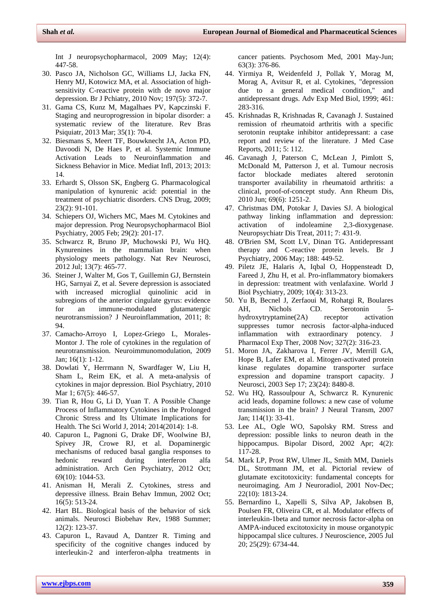Int J neuropsychopharmacol, 2009 May; 12(4): 447-58.

- <span id="page-5-0"></span>30. Pasco JA, Nicholson GC, Williams LJ, Jacka FN, Henry MJ, Kotowicz MA, et al. Association of highsensitivity C-reactive protein with de novo major depression. Br J Pchiatry, 2010 Nov; 197(5): 372-7.
- 31. Gama CS, Kunz M, Magalhaes PV, Kapczinski F. Staging and neuroprogression in bipolar disorder: a systematic review of the literature. Rev Bras Psiquiatr, 2013 Mar; 35(1): 70-4.
- 32. Biesmans S, Meert TF, Bouwknecht JA, Acton PD, Davoodi N, De Haes P, et al. Systemic Immune Activation Leads to Neuroinflammation and Sickness Behavior in Mice. Mediat Infl, 2013; 2013: 14.
- 33. Erhardt S, Olsson SK, Engberg G. Pharmacological manipulation of kynurenic acid: potential in the treatment of psychiatric disorders. CNS Drug, 2009; 23(2): 91-101.
- 34. Schiepers OJ, Wichers MC, Maes M. Cytokines and major depression. Prog Neuropsychopharmacol Biol Psychiatry, 2005 Feb; 29(2): 201-17.
- 35. Schwarcz R, Bruno JP, Muchowski PJ, Wu HQ. Kynurenines in the mammalian brain: when physiology meets pathology. Nat Rev Neurosci, 2012 Jul; 13(7): 465-77.
- <span id="page-5-3"></span>36. Steiner J, Walter M, Gos T, Guillemin GJ, Bernstein HG, Sarnyai Z, et al. Severe depression is associated with increased microglial quinolinic acid in subregions of the anterior cingulate gyrus: evidence for an immune-modulated glutamatergic neurotransmission? J Neuroinflammation, 2011; 8: 94.
- <span id="page-5-4"></span>37. Camacho-Arroyo I, Lopez-Griego L, Morales-Montor J. The role of cytokines in the regulation of neurotransmission. Neuroimmunomodulation, 2009 Jan; 16(1): 1-12.
- <span id="page-5-5"></span>38. Dowlati Y, Herrmann N, Swardfager W, Liu H, Sham L, Reim EK, et al. A meta-analysis of cytokines in major depression. Biol Psychiatry, 2010 Mar 1; 67(5): 446-57.
- <span id="page-5-6"></span>39. Tian R, Hou G, Li D, Yuan T. A Possible Change Process of Inflammatory Cytokines in the Prolonged Chronic Stress and Its Ultimate Implications for Health. The Sci World J, 2014; 2014(2014): 1-8.
- <span id="page-5-7"></span>40. Capuron L, Pagnoni G, Drake DF, Woolwine BJ, Spivey JR, Crowe RJ, et al. Dopaminergic mechanisms of reduced basal ganglia responses to hedonic reward during interferon alfa administration. Arch Gen Psychiatry, 2012 Oct; 69(10): 1044-53.
- <span id="page-5-8"></span>41. Anisman H, Merali Z. Cytokines, stress and depressive illness. Brain Behav Immun, 2002 Oct; 16(5): 513-24.
- <span id="page-5-9"></span>42. Hart BL. Biological basis of the behavior of sick animals. Neurosci Biobehav Rev, 1988 Summer; 12(2): 123-37.
- <span id="page-5-10"></span>43. Capuron L, Ravaud A, Dantzer R. Timing and specificity of the cognitive changes induced by interleukin-2 and interferon-alpha treatments in

<span id="page-5-11"></span>cancer patients. Psychosom Med, 2001 May-Jun; 63(3): 376-86.

- 44. Yirmiya R, Weidenfeld J, Pollak Y, Morag M, Morag A, Avitsur R, et al. Cytokines, "depression due to a general medical condition," and antidepressant drugs. Adv Exp Med Biol, 1999; 461: 283-316.
- <span id="page-5-12"></span><span id="page-5-2"></span><span id="page-5-1"></span>45. Krishnadas R, Krishnadas R, Cavanagh J. Sustained remission of rheumatoid arthritis with a specific serotonin reuptake inhibitor antidepressant: a case report and review of the literature. J Med Case Reports, 2011; 5: 112.
- <span id="page-5-13"></span>46. Cavanagh J, Paterson C, McLean J, Pimlott S, McDonald M, Patterson J, et al. Tumour necrosis factor blockade mediates altered serotonin transporter availability in rheumatoid arthritis: a clinical, proof-of-concept study. Ann Rheum Dis, 2010 Jun; 69(6): 1251-2.
- <span id="page-5-14"></span>47. Christmas DM, Potokar J, Davies SJ. A biological pathway linking inflammation and depression: activation of indoleamine 2,3-dioxygenase. Neuropsychiatr Dis Treat, 2011; 7: 431-9.
- <span id="page-5-15"></span>48. O'Brien SM, Scott LV, Dinan TG. Antidepressant therapy and C-reactive protein levels. Br J Psychiatry, 2006 May; 188: 449-52.
- <span id="page-5-16"></span>49. Piletz JE, Halaris A, Iqbal O, Hoppensteadt D, Fareed J, Zhu H, et al. Pro-inflammatory biomakers in depression: treatment with venlafaxine. World J Biol Psychiatry, 2009; 10(4): 313-23.
- <span id="page-5-17"></span>50. Yu B, Becnel J, Zerfaoui M, Rohatgi R, Boulares AH, Nichols CD. Serotonin 5 hydroxytryptamine(2A) receptor activation suppresses tumor necrosis factor-alpha-induced inflammation with extraordinary potency. J Pharmacol Exp Ther, 2008 Nov; 327(2): 316-23.
- <span id="page-5-18"></span>51. Moron JA, Zakharova I, Ferrer JV, Merrill GA, Hope B, Lafer EM, et al. Mitogen-activated protein kinase regulates dopamine transporter surface expression and dopamine transport capacity. J Neurosci, 2003 Sep 17; 23(24): 8480-8.
- <span id="page-5-19"></span>52. Wu HQ, Rassoulpour A, Schwarcz R. Kynurenic acid leads, dopamine follows: a new case of volume transmission in the brain? J Neural Transm, 2007 Jan; 114(1): 33-41.
- <span id="page-5-20"></span>53. Lee AL, Ogle WO, Sapolsky RM. Stress and depression: possible links to neuron death in the hippocampus. Bipolar Disord, 2002 Apr; 4(2): 117-28.
- <span id="page-5-21"></span>54. Mark LP, Prost RW, Ulmer JL, Smith MM, Daniels DL, Strottmann JM, et al. Pictorial review of glutamate excitotoxicity: fundamental concepts for neuroimaging. Am J Neuroradiol, 2001 Nov-Dec; 22(10): 1813-24.
- <span id="page-5-23"></span><span id="page-5-22"></span>55. Bernardino L, Xapelli S, Silva AP, Jakobsen B, Poulsen FR, Oliveira CR, et al. Modulator effects of interleukin-1beta and tumor necrosis factor-alpha on AMPA-induced excitotoxicity in mouse organotypic hippocampal slice cultures. J Neuroscience, 2005 Jul 20; 25(29): 6734-44.